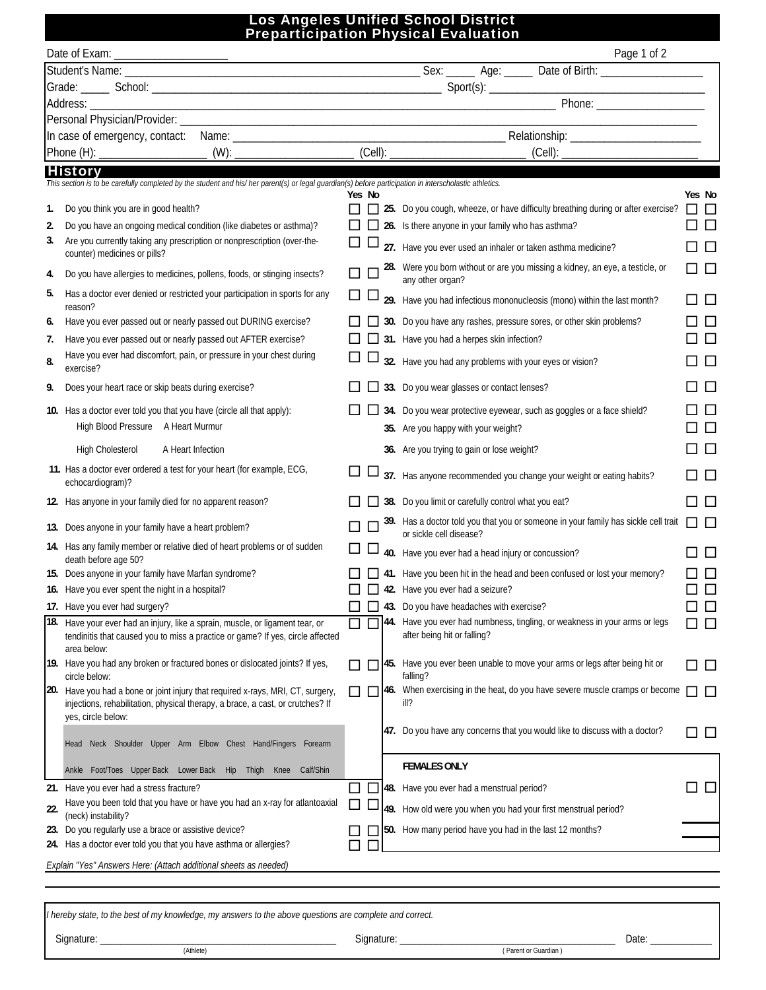## Los Angeles Unified School District Preparticipation Physical Evaluation

|     |                                                                                                                                                                                |        |         | Page 1 of 2                                                                                                                                                                                                                    |                        |
|-----|--------------------------------------------------------------------------------------------------------------------------------------------------------------------------------|--------|---------|--------------------------------------------------------------------------------------------------------------------------------------------------------------------------------------------------------------------------------|------------------------|
|     |                                                                                                                                                                                |        |         |                                                                                                                                                                                                                                |                        |
|     |                                                                                                                                                                                |        |         | Grade: School: School: School: School: School: School: School: School: School: School: School: School: School: School: School: School: School: School: School: School: School: School: School: School: School: School: School: |                        |
|     |                                                                                                                                                                                |        |         |                                                                                                                                                                                                                                |                        |
|     |                                                                                                                                                                                |        |         |                                                                                                                                                                                                                                |                        |
|     |                                                                                                                                                                                |        |         |                                                                                                                                                                                                                                |                        |
|     |                                                                                                                                                                                |        |         |                                                                                                                                                                                                                                |                        |
|     | <b>History</b>                                                                                                                                                                 |        |         |                                                                                                                                                                                                                                |                        |
|     | This section is to be carefully completed by the student and his/ her parent(s) or legal guardian(s) before participation in interscholastic athletics.                        | Yes No |         |                                                                                                                                                                                                                                | Yes No                 |
| 1.  | Do you think you are in good health?                                                                                                                                           |        |         | 25. Do you cough, wheeze, or have difficulty breathing during or after exercise?                                                                                                                                               | 0 O                    |
| 2.  | Do you have an ongoing medical condition (like diabetes or asthma)?                                                                                                            |        |         | 26. Is there anyone in your family who has asthma?                                                                                                                                                                             | $\Box$ $\Box$          |
| 3.  | Are you currently taking any prescription or nonprescription (over-the-                                                                                                        | ப      | ப       | 27. Have you ever used an inhaler or taken asthma medicine?                                                                                                                                                                    |                        |
|     | counter) medicines or pills?                                                                                                                                                   |        |         |                                                                                                                                                                                                                                | □                      |
| 4.  | Do you have allergies to medicines, pollens, foods, or stinging insects?                                                                                                       |        |         | 28. Were you born without or are you missing a kidney, an eye, a testicle, or<br>any other organ?                                                                                                                              | $\Box$ $\Box$          |
| 5.  | Has a doctor ever denied or restricted your participation in sports for any<br>reason?                                                                                         | ப      | ப       | 29. Have you had infectious mononucleosis (mono) within the last month?                                                                                                                                                        | □                      |
| 6.  | Have you ever passed out or nearly passed out DURING exercise?                                                                                                                 |        | $\perp$ | 30. Do you have any rashes, pressure sores, or other skin problems?                                                                                                                                                            | $\Box$                 |
| 7.  | Have you ever passed out or nearly passed out AFTER exercise?                                                                                                                  |        |         | 31. Have you had a herpes skin infection?                                                                                                                                                                                      | $\Box$                 |
| 8.  | Have you ever had discomfort, pain, or pressure in your chest during<br>exercise?                                                                                              | $\Box$ |         | 32. Have you had any problems with your eyes or vision?                                                                                                                                                                        | $\Box$                 |
| 9.  | Does your heart race or skip beats during exercise?                                                                                                                            |        |         | 33. Do you wear glasses or contact lenses?                                                                                                                                                                                     | □                      |
|     | 10. Has a doctor ever told you that you have (circle all that apply):                                                                                                          |        |         | 34. Do you wear protective eyewear, such as goggles or a face shield?                                                                                                                                                          | $\Box$                 |
|     | High Blood Pressure A Heart Murmur                                                                                                                                             |        |         | 35. Are you happy with your weight?                                                                                                                                                                                            | $\Box$                 |
|     | <b>High Cholesterol</b><br>A Heart Infection                                                                                                                                   |        |         | 36. Are you trying to gain or lose weight?                                                                                                                                                                                     | □                      |
|     | 11. Has a doctor ever ordered a test for your heart (for example, ECG,<br>echocardiogram)?                                                                                     |        |         | 37. Has anyone recommended you change your weight or eating habits?                                                                                                                                                            | □□                     |
|     | 12. Has anyone in your family died for no apparent reason?                                                                                                                     |        |         | 38. Do you limit or carefully control what you eat?                                                                                                                                                                            | $\Box$ $\Box$          |
|     | 13. Does anyone in your family have a heart problem?                                                                                                                           |        |         | 39. Has a doctor told you that you or someone in your family has sickle cell trait<br>or sickle cell disease?                                                                                                                  | $\Box$ $\Box$          |
|     | 14. Has any family member or relative died of heart problems or of sudden<br>death before age 50?                                                                              | ⊔      |         | 40. Have you ever had a head injury or concussion?                                                                                                                                                                             | □                      |
|     | 15. Does anyone in your family have Marfan syndrome?                                                                                                                           |        |         | 41. Have you been hit in the head and been confused or lost your memory?                                                                                                                                                       | $\Box$                 |
|     | 16. Have you ever spent the night in a hospital?                                                                                                                               |        |         | $\Box$ 42. Have you ever had a seizure?                                                                                                                                                                                        | $\Box$<br>$\sqcup$     |
|     | 17. Have you ever had surgery?                                                                                                                                                 |        |         | 43. Do you have headaches with exercise?                                                                                                                                                                                       | $\square$<br>$\square$ |
|     | 18. Have your ever had an injury, like a sprain, muscle, or ligament tear, or<br>tendinitis that caused you to miss a practice or game? If yes, circle affected<br>area below: |        |         | 44. Have you ever had numbness, tingling, or weakness in your arms or legs<br>after being hit or falling?                                                                                                                      | □                      |
|     | 19. Have you had any broken or fractured bones or dislocated joints? If yes,<br>circle below:                                                                                  |        |         | [45. Have you ever been unable to move your arms or legs after being hit or<br>falling?                                                                                                                                        | □                      |
| 20. | Have you had a bone or joint injury that required x-rays, MRI, CT, surgery,<br>injections, rehabilitation, physical therapy, a brace, a cast, or crutches? If                  | LΙ     |         | [146. When exercising in the heat, do you have severe muscle cramps or become<br>ill?                                                                                                                                          | □□                     |
|     | yes, circle below:<br>Head Neck Shoulder Upper Arm Elbow Chest Hand/Fingers Forearm                                                                                            |        |         | 47. Do you have any concerns that you would like to discuss with a doctor?                                                                                                                                                     | $\Box$                 |
|     | Ankle Foot/Toes Upper Back Lower Back Hip Thigh Knee Calf/Shin                                                                                                                 |        |         | <b>FEMALES ONLY</b>                                                                                                                                                                                                            |                        |
|     | 21. Have you ever had a stress fracture?                                                                                                                                       | ΙI     |         | 48. Have you ever had a menstrual period?                                                                                                                                                                                      | $\Box$ $\Box$          |
|     | Have you been told that you have or have you had an x-ray for atlantoaxial                                                                                                     | □      | ட       | 49. How old were you when you had your first menstrual period?                                                                                                                                                                 |                        |
| 22. | (neck) instability?                                                                                                                                                            |        |         |                                                                                                                                                                                                                                |                        |
|     | 23. Do you regularly use a brace or assistive device?<br>24. Has a doctor ever told you that you have asthma or allergies?                                                     |        |         | 50. How many period have you had in the last 12 months?                                                                                                                                                                        |                        |
|     | Explain "Yes" Answers Here: (Attach additional sheets as needed)                                                                                                               |        |         |                                                                                                                                                                                                                                |                        |

*I hereby state, to the best of my knowledge, my answers to the above questions are complete and correct.*

Signature:

Signature: \_\_\_\_\_\_\_\_\_\_\_\_\_\_\_\_\_\_\_\_\_\_\_\_\_\_\_\_\_\_\_\_\_\_\_\_\_\_\_\_\_\_ Date: \_\_\_\_\_\_\_\_\_\_\_\_